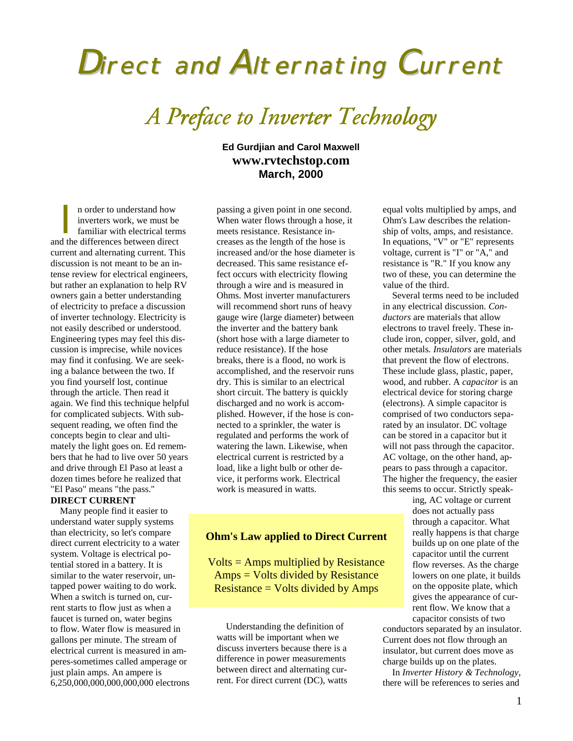# Direct and Alternating Current

*A Preface to Inverter Technology*

**Ed Gurdjian and Carol Maxwell www.rvtechstop.com March, 2000**

n order to understand how inverters work, we must be familiar with electrical terms n order to understand how<br>inverters work, we must be<br>familiar with electrical tern<br>and the differences between direct current and alternating current. This discussion is not meant to be an intense review for electrical engineers, but rather an explanation to help RV owners gain a better understanding of electricity to preface a discussion of inverter technology. Electricity is not easily described or understood. Engineering types may feel this discussion is imprecise, while novices may find it confusing. We are seeking a balance between the two. If you find yourself lost, continue through the article. Then read it again. We find this technique helpful for complicated subjects. With subsequent reading, we often find the concepts begin to clear and ultimately the light goes on. Ed remembers that he had to live over 50 years and drive through El Paso at least a dozen times before he realized that "El Paso" means "the pass."

## **DIRECT CURRENT**

Many people find it easier to understand water supply systems than electricity, so let's compare direct current electricity to a water system. Voltage is electrical potential stored in a battery. It is similar to the water reservoir, untapped power waiting to do work. When a switch is turned on, current starts to flow just as when a faucet is turned on, water begins to flow. Water flow is measured in gallons per minute. The stream of electrical current is measured in amperes-sometimes called amperage or just plain amps. An ampere is 6,250,000,000,000,000,000 electrons

passing a given point in one second. When water flows through a hose, it meets resistance. Resistance increases as the length of the hose is increased and/or the hose diameter is decreased. This same resistance effect occurs with electricity flowing through a wire and is measured in Ohms. Most inverter manufacturers will recommend short runs of heavy gauge wire (large diameter) between the inverter and the battery bank (short hose with a large diameter to reduce resistance). If the hose breaks, there is a flood, no work is accomplished, and the reservoir runs dry. This is similar to an electrical short circuit. The battery is quickly discharged and no work is accomplished. However, if the hose is connected to a sprinkler, the water is regulated and performs the work of watering the lawn. Likewise, when electrical current is restricted by a load, like a light bulb or other device, it performs work. Electrical work is measured in watts.

## **Ohm's Law applied to Direct Current**

Volts = Amps multiplied by Resistance Amps = Volts divided by Resistance Resistance = Volts divided by Amps

Understanding the definition of watts will be important when we discuss inverters because there is a difference in power measurements between direct and alternating current. For direct current (DC), watts equal volts multiplied by amps, and Ohm's Law describes the relationship of volts, amps, and resistance. In equations, "V" or "E" represents voltage, current is "I" or "A," and resistance is "R." If you know any two of these, you can determine the value of the third.

Several terms need to be included in any electrical discussion. *Conductors* are materials that allow electrons to travel freely. These include iron, copper, silver, gold, and other metals*. Insulators* are materials that prevent the flow of electrons. These include glass, plastic, paper, wood, and rubber. A *capacitor* is an electrical device for storing charge (electrons). A simple capacitor is comprised of two conductors separated by an insulator. DC voltage can be stored in a capacitor but it will not pass through the capacitor. AC voltage, on the other hand, appears to pass through a capacitor. The higher the frequency, the easier this seems to occur. Strictly speak-

ing, AC voltage or current does not actually pass through a capacitor. What really happens is that charge builds up on one plate of the capacitor until the current flow reverses. As the charge lowers on one plate, it builds on the opposite plate, which gives the appearance of current flow. We know that a capacitor consists of two

conductors separated by an insulator. Current does not flow through an insulator, but current does move as charge builds up on the plates.

In *Inverter History & Technology*, there will be references to series and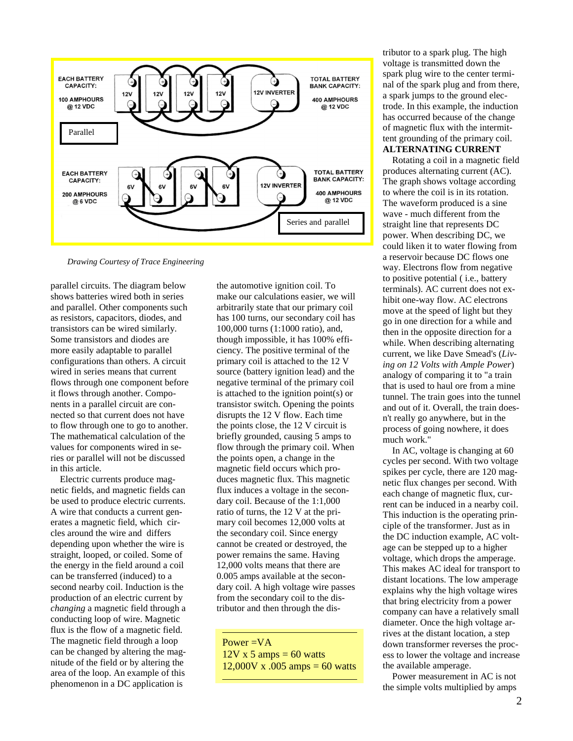

*Drawing Courtesy of Trace Engineering*

parallel circuits. The diagram below shows batteries wired both in series and parallel. Other components such as resistors, capacitors, diodes, and transistors can be wired similarly. Some transistors and diodes are more easily adaptable to parallel configurations than others. A circuit wired in series means that current flows through one component before it flows through another. Components in a parallel circuit are connected so that current does not have to flow through one to go to another. The mathematical calculation of the values for components wired in series or parallel will not be discussed in this article.

Electric currents produce magnetic fields, and magnetic fields can be used to produce electric currents. A wire that conducts a current generates a magnetic field, which circles around the wire and differs depending upon whether the wire is straight, looped, or coiled. Some of the energy in the field around a coil can be transferred (induced) to a second nearby coil. Induction is the production of an electric current by *changing* a magnetic field through a conducting loop of wire. Magnetic flux is the flow of a magnetic field. The magnetic field through a loop can be changed by altering the magnitude of the field or by altering the area of the loop. An example of this phenomenon in a DC application is

the automotive ignition coil. To make our calculations easier, we will arbitrarily state that our primary coil has 100 turns, our secondary coil has 100,000 turns (1:1000 ratio), and, though impossible, it has 100% efficiency. The positive terminal of the primary coil is attached to the 12 V source (battery ignition lead) and the negative terminal of the primary coil is attached to the ignition point(s) or transistor switch. Opening the points disrupts the 12 V flow. Each time the points close, the 12 V circuit is briefly grounded, causing 5 amps to flow through the primary coil. When the points open, a change in the magnetic field occurs which produces magnetic flux. This magnetic flux induces a voltage in the secondary coil. Because of the 1:1,000 ratio of turns, the 12 V at the primary coil becomes 12,000 volts at the secondary coil. Since energy cannot be created or destroyed, the power remains the same. Having 12,000 volts means that there are 0.005 amps available at the secondary coil. A high voltage wire passes from the secondary coil to the distributor and then through the dis-

Power =VA  $12V \times 5$  amps = 60 watts 12,000V x .005 amps = 60 watts tributor to a spark plug. The high voltage is transmitted down the spark plug wire to the center terminal of the spark plug and from there, a spark jumps to the ground electrode. In this example, the induction has occurred because of the change of magnetic flux with the intermittent grounding of the primary coil. **ALTERNATING CURRENT**

Rotating a coil in a magnetic field produces alternating current (AC). The graph shows voltage according to where the coil is in its rotation. The waveform produced is a sine wave - much different from the straight line that represents DC power. When describing DC, we could liken it to water flowing from a reservoir because DC flows one way. Electrons flow from negative to positive potential ( i.e., battery terminals). AC current does not exhibit one-way flow. AC electrons move at the speed of light but they go in one direction for a while and then in the opposite direction for a while. When describing alternating current, we like Dave Smead's (*Living on 12 Volts with Ample Power*) analogy of comparing it to "a train that is used to haul ore from a mine tunnel. The train goes into the tunnel and out of it. Overall, the train doesn't really go anywhere, but in the process of going nowhere, it does much work."

In AC, voltage is changing at 60 cycles per second. With two voltage spikes per cycle, there are 120 magnetic flux changes per second. With each change of magnetic flux, current can be induced in a nearby coil. This induction is the operating principle of the transformer. Just as in the DC induction example, AC voltage can be stepped up to a higher voltage, which drops the amperage. This makes AC ideal for transport to distant locations. The low amperage explains why the high voltage wires that bring electricity from a power company can have a relatively small diameter. Once the high voltage arrives at the distant location, a step down transformer reverses the process to lower the voltage and increase the available amperage.

Power measurement in AC is not the simple volts multiplied by amps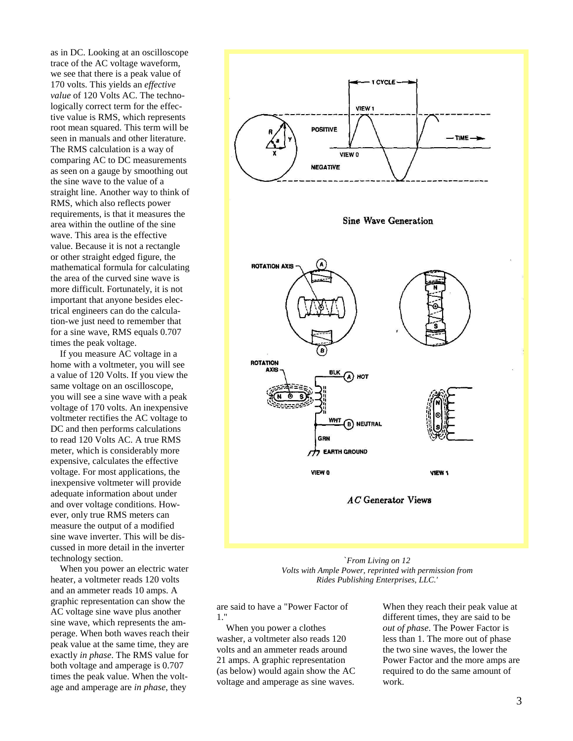as in DC. Looking at an oscilloscope trace of the AC voltage waveform, we see that there is a peak value of 170 volts. This yields an *effective value* of 120 Volts AC. The technologically correct term for the effective value is RMS, which represents root mean squared. This term will be seen in manuals and other literature. The RMS calculation is a way of comparing AC to DC measurements as seen on a gauge by smoothing out the sine wave to the value of a straight line. Another way to think of RMS, which also reflects power requirements, is that it measures the area within the outline of the sine wave. This area is the effective value. Because it is not a rectangle or other straight edged figure, the mathematical formula for calculating the area of the curved sine wave is more difficult. Fortunately, it is not important that anyone besides electrical engineers can do the calculation-we just need to remember that for a sine wave, RMS equals 0.707 times the peak voltage.

If you measure AC voltage in a home with a voltmeter, you will see a value of 120 Volts. If you view the same voltage on an oscilloscope, you will see a sine wave with a peak voltage of 170 volts. An inexpensive voltmeter rectifies the AC voltage to DC and then performs calculations to read 120 Volts AC. A true RMS meter, which is considerably more expensive, calculates the effective voltage. For most applications, the inexpensive voltmeter will provide adequate information about under and over voltage conditions. However, only true RMS meters can measure the output of a modified sine wave inverter. This will be discussed in more detail in the inverter technology section.

When you power an electric water heater, a voltmeter reads 120 volts and an ammeter reads 10 amps. A graphic representation can show the AC voltage sine wave plus another sine wave, which represents the amperage. When both waves reach their peak value at the same time, they are exactly *in phase*. The RMS value for both voltage and amperage is 0.707 times the peak value. When the voltage and amperage are *in phase*, they



`*From Living on 12 Volts with Ample Power, reprinted with permission from Rides Publishing Enterprises, LLC.'*

are said to have a "Power Factor of 1."

When you power a clothes washer, a voltmeter also reads 120 volts and an ammeter reads around 21 amps. A graphic representation (as below) would again show the AC voltage and amperage as sine waves.

When they reach their peak value at different times, they are said to be *out of phase*. The Power Factor is less than 1. The more out of phase the two sine waves, the lower the Power Factor and the more amps are required to do the same amount of work.